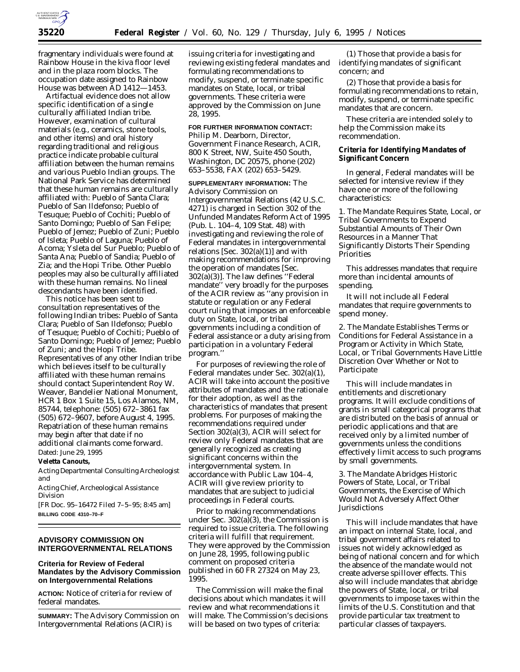

fragmentary individuals were found at Rainbow House in the kiva floor level and in the plaza room blocks. The occupation date assigned to Rainbow House was between AD 1412—1453.

Artifactual evidence does not allow specific identification of a single culturally affiliated Indian tribe. However, examination of cultural materials (e.g., ceramics, stone tools, and other items) and oral history regarding traditional and religious practice indicate probable cultural affiliation between the human remains and various Pueblo Indian groups. The National Park Service has determined that these human remains are culturally affiliated with: Pueblo of Santa Clara; Pueblo of San Ildefonso; Pueblo of Tesuque; Pueblo of Cochiti; Pueblo of Santo Domingo; Pueblo of San Felipe; Pueblo of Jemez; Pueblo of Zuni; Pueblo of Isleta; Pueblo of Laguna; Pueblo of Acoma; Ysleta del Sur Pueblo; Pueblo of Santa Ana; Pueblo of Sandia; Pueblo of Zia; and the Hopi Tribe. Other Pueblo peoples may also be culturally affiliated with these human remains. No lineal descendants have been identified.

This notice has been sent to consultation representatives of the following Indian tribes: Pueblo of Santa Clara; Pueblo of San Ildefonso; Pueblo of Tesuque; Pueblo of Cochiti; Pueblo of Santo Domingo; Pueblo of Jemez; Pueblo of Zuni; and the Hopi Tribe. Representatives of any other Indian tribe which believes itself to be culturally affiliated with these human remains should contact Superintendent Roy W. Weaver, Bandelier National Monument, HCR 1 Box 1 Suite 15, Los Alamos, NM, 85744, telephone: (505) 672–3861 fax (505) 672–9607, before August 4, 1995. Repatriation of these human remains may begin after that date if no additional claimants come forward. Dated: June 29, 1995

## **Veletta Canouts,**

*Acting Departmental Consulting Archeologist and*

*Acting Chief, Archeological Assistance Division*

[FR Doc. 95–16472 Filed 7–5–95; 8:45 am] **BILLING CODE 4310–70–F**

## **ADVISORY COMMISSION ON INTERGOVERNMENTAL RELATIONS**

# **Criteria for Review of Federal Mandates by the Advisory Commission on Intergovernmental Relations**

**ACTION:** Notice of criteria for review of federal mandates.

**SUMMARY:** The Advisory Commission on Intergovernmental Relations (ACIR) is

issuing criteria for investigating and reviewing existing federal mandates and formulating recommendations to modify, suspend, or terminate specific mandates on State, local, or tribal governments. These criteria were approved by the Commission on June 28, 1995.

**FOR FURTHER INFORMATION CONTACT:** Philip M. Dearborn, Director, Government Finance Research, ACIR, 800 K Street, NW, Suite 450 South, Washington, DC 20575, phone (202) 653–5538, FAX (202) 653–5429.

**SUPPLEMENTARY INFORMATION:** The Advisory Commission on Intergovernmental Relations (42 U.S.C. 4271) is charged in Section 302 of the Unfunded Mandates Reform Act of 1995 (Pub. L. 104–4, 109 Stat. 48) with investigating and reviewing the role of Federal mandates in intergovernmental relations [Sec. 302(a)(1)] and with making recommendations for improving the operation of mandates [Sec. 302(a)(3)]. The law defines ''Federal mandate'' very broadly for the purposes of the ACIR review as ''any provision in statute or regulation or any Federal court ruling that imposes an enforceable duty on State, local, or tribal governments including a condition of Federal assistance or a duty arising from participation in a voluntary Federal program.''

For purposes of reviewing the role of Federal mandates under Sec. 302(a)(1), ACIR will take into account the positive attributes of mandates and the rationale for their adoption, as well as the characteristics of mandates that present problems. For purposes of making the recommendations required under Section 302(a)(3), ACIR will select for review only Federal mandates that are generally recognized as creating significant concerns within the intergovernmental system. In accordance with Public Law 104–4, ACIR will give review priority to mandates that are subject to judicial proceedings in Federal courts.

Prior to making recommendations under Sec. 302(a)(3), the Commission is required to issue criteria. The following criteria will fulfill that requirement. They were approved by the Commission on June 28, 1995, following public comment on proposed criteria published in 60 FR 27324 on May 23, 1995.

The Commission will make the final decisions about which mandates it will review and what recommendations it will make. The Commission's decisions will be based on two types of criteria:

(1) Those that provide a basis for identifying mandates of significant concern; and

(2) Those that provide a basis for formulating recommendations to retain, modify, suspend, or terminate specific mandates that are concern.

These criteria are intended solely to help the Commission make its recommendation.

## **Criteria for Identifying Mandates of Significant Concern**

In general, Federal mandates will be selected for intensive review if they have one or more of the following characteristics:

*1. The Mandate Requires State, Local, or Tribal Governments to Expend Substantial Amounts of Their Own Resources in a Manner That Significantly Distorts Their Spending Priorities*

This addresses mandates that require more than incidental amounts of spending.

It will not include all Federal mandates that require governments to spend money.

*2. The Mandate Establishes Terms or Conditions for Federal Assistance in a Program or Activity in Which State, Local, or Tribal Governments Have Little Discretion Over Whether or Not to Participate*

This will include mandates in entitlements and discretionary programs. It will exclude conditions of grants in small categorical programs that are distributed on the basis of annual or periodic applications and that are received only by a limited number of governments unless the conditions effectively limit access to such programs by small governments.

*3. The Mandate Abridges Historic Powers of State, Local, or Tribal Governments, the Exercise of Which Would Not Adversely Affect Other Jurisdictions*

This will include mandates that have an impact on internal State, local, and tribal government affairs related to issues not widely acknowledged as being of national concern and for which the absence of the mandate would not create adverse spillover effects. This also will include mandates that abridge the powers of State, local, or tribal governments to impose taxes within the limits of the U.S. Constitution and that provide particular tax treatment to particular classes of taxpayers.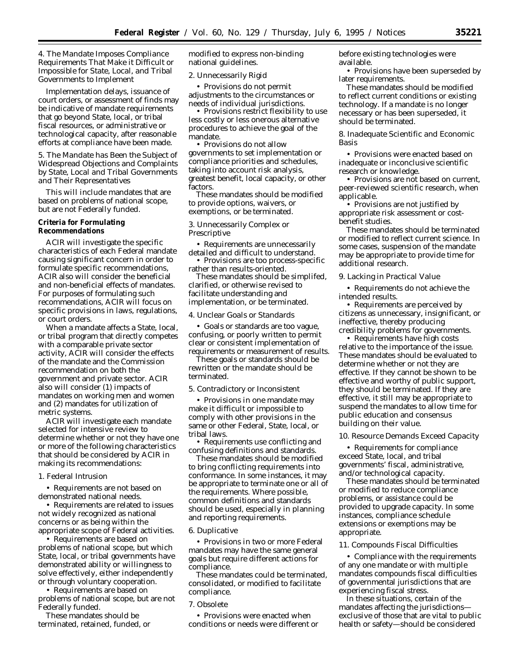# *4. The Mandate Imposes Compliance Requirements That Make it Difficult or Impossible for State, Local, and Tribal Governments to Implement*

Implementation delays, issuance of court orders, or assessment of finds may be indicative of mandate requirements that go beyond State, local, or tribal fiscal resources, or administrative or technological capacity, after reasonable efforts at compliance have been made.

*5. The Mandate has Been the Subject of Widespread Objections and Complaints by State, Local and Tribal Governments and Their Representatives*

This will include mandates that are based on problems of national scope, but are not Federally funded.

# **Criteria for Formulating Recommendations**

ACIR will investigate the specific characteristics of each Federal mandate causing significant concern in order to formulate specific recommendations, ACIR also will consider the beneficial and non-beneficial effects of mandates. For purposes of formulating such recommendations, ACIR will focus on specific provisions in laws, regulations, or court orders.

When a mandate affects a State, local, or tribal program that directly competes with a comparable private sector activity, ACIR will consider the effects of the mandate and the Commission recommendation on both the government and private sector. ACIR also will consider (1) impacts of mandates on working men and women and (2) mandates for utilization of metric systems.

ACIR will investigate each mandate selected for intensive review to determine whether or not they have one or more of the following characteristics that should be considered by ACIR in making its recommendations:

#### *1. Federal Intrusion*

• Requirements are not based on demonstrated national needs.

• Requirements are related to issues not widely recognized as national concerns or as being within the appropriate scope of Federal activities.

• Requirements are based on problems of national scope, but which State, local, or tribal governments have demonstrated ability or willingness to solve effectively, either independently or through voluntary cooperation.

• Requirements are based on problems of national scope, but are not Federally funded.

These mandates should be terminated, retained, funded, or modified to express non-binding national guidelines.

#### *2. Unnecessarily Rigid*

• Provisions do not permit adjustments to the circumstances or needs of individual jurisdictions.

• Provisions restrict flexibility to use less costly or less onerous alternative procedures to achieve the goal of the mandate.

• Provisions do not allow governments to set implementation or compliance priorities and schedules, taking into account risk analysis, greatest benefit, local capacity, or other factors.

These mandates should be modified to provide options, waivers, or exemptions, or be terminated.

#### *3. Unnecessarily Complex or Prescriptive*

• Requirements are unnecessarily detailed and difficult to understand.

• Provisions are too process-specific rather than results-oriented.

These mandates should be simplifed, clarified, or otherwise revised to facilitate understanding and implementation, or be terminated.

#### *4. Unclear Goals or Standards*

• Goals or standards are too vague, confusing, or poorly written to permit clear or consistent implementation of requirements or measurement of results.

These goals or standards should be rewritten or the mandate should be terminated.

#### *5. Contradictory or Inconsistent*

• Provisions in one mandate may make it difficult or impossible to comply with other provisions in the same or other Federal, State, local, or tribal laws.

• Requirements use conflicting and confusing definitions and standards.

These mandates should be modified to bring conflicting requirements into conformance. In some instances, it may be appropriate to terminate one or all of the requirements. Where possible, common definitions and standards should be used, especially in planning and reporting requirements.

#### *6. Duplicative*

• Provisions in two or more Federal mandates may have the same general goals but require different actions for compliance.

These mandates could be terminated, consolidated, or modified to facilitate compliance.

#### *7. Obsolete*

• Provisions were enacted when conditions or needs were different or before existing technologies were available.

• Provisions have been superseded by later requirements.

These mandates should be modified to reflect current conditions or existing technology. If a mandate is no longer necessary or has been superseded, it should be terminated.

*8. Inadequate Scientific and Economic Basis*

• Provisions were enacted based on inadequate or inconclusive scientific research or knowledge.

• Provisions are not based on current. peer-reviewed scientific research, when applicable.

• Provisions are not justified by appropriate risk assessment or costbenefit studies.

These mandates should be terminated or modified to reflect current science. In some cases, suspension of the mandate may be appropriate to provide time for additional research.

#### *9. Lacking in Practical Value*

• Requirements do not achieve the intended results.

• Requirements are perceived by citizens as unnecessary, insignificant, or ineffective, thereby producing credibility problems for governments.

• Requirements have high costs relative to the importance of the issue. These mandates should be evaluated to determine whether or not they are effective. If they cannot be shown to be effective and worthy of public support, they should be terminated. If they are effective, it still may be appropriate to suspend the mandates to allow time for public education and consensus building on their value.

### *10. Resource Demands Exceed Capacity*

• Requirements for compliance exceed State, local, and tribal governments' fiscal, administrative, and/or technological capacity.

These mandates should be terminated or modified to reduce compliance problems, or assistance could be provided to upgrade capacity. In some instances, compliance schedule extensions or exemptions may be appropriate.

#### *11. Compounds Fiscal Difficulties*

• Compliance with the requirements of any one mandate or with multiple mandates compounds fiscal difficulties of governmental jurisdictions that are experiencing fiscal stress.

In these situations, certain of the mandates affecting the jurisdictions exclusive of those that are vital to public health or safety—should be considered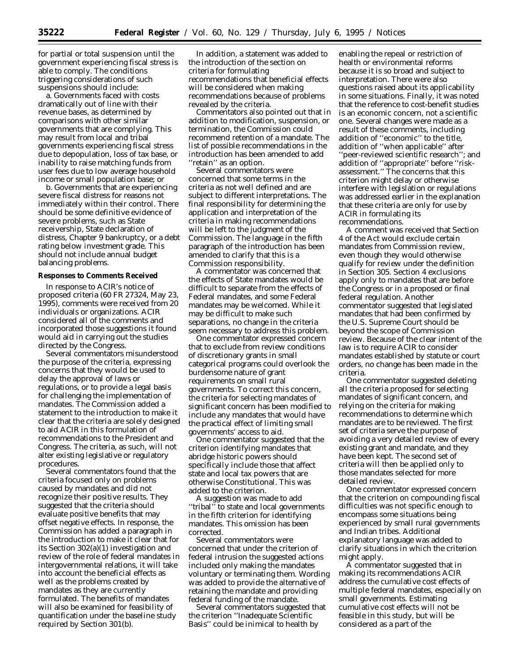for partial or total suspension until the government experiencing fiscal stress is able to comply. The conditions triggering considerations of such suspensions should include:

a. Governments faced with costs dramatically out of line with their revenue bases, as determined by comparisons with other similar governments that are complying. This may result from local and tribal governments experiencing fiscal stress due to depopulation, loss of tax base, or inability to raise matching funds from user fees due to low average household income or small population base; or

b. Governments that are experiencing severe fiscal distress for reasons not immediately within their control. There should be some definitive evidence of severe problems, such as State receivership, State declaration of distress, Chapter 9 bankruptcy, or a debt rating below investment grade. This should not include annual budget balancing problems.

#### **Responses to Comments Received**

In response to ACIR's notice of proposed criteria (60 FR 27324, May 23, 1995), comments were received from 20 individuals or organizations. ACIR considered all of the comments and incorporated those suggestions it found would aid in carrying out the studies directed by the Congress.

Several commentators misunderstood the purpose of the criteria, expressing concerns that they would be used to delay the approval of laws or regulations, or to provide a legal basis for challenging the implementation of mandates. The Commission added a statement to the introduction to make it clear that the criteria are solely designed to aid ACIR in this formulation of recommendations to the President and Congress. The criteria, as such, will not alter existing legislative or regulatory procedures.

Several commentators found that the criteria focused only on problems caused by mandates and did not recognize their positive results. They suggested that the criteria should evaluate positive benefits that may offset negative effects. In response, the Commission has added a paragraph in the introduction to make it clear that for its Section 302(a)(1) investigation and review of the role of federal mandates in intergovernmental relations, it will take into account the beneficial effects as well as the problems created by mandates as they are currently formulated. The benefits of mandates will also be examined for feasibility of quantification under the baseline study required by Section 301(b).

In addition, a statement was added to the introduction of the section on criteria for formulating recommendations that beneficial effects will be considered when making recommendations because of problems revealed by the criteria.

Commentators also pointed out that in addition to modification, suspension, or termination, the Commission could recommend retention of a mandate. The list of possible recommendations in the introduction has been amended to add ''retain'' as an option.

Several commentators were concerned that some terms in the criteria as not well defined and are subject to different interpretations. The final responsibility for determining the application and interpretation of the criteria in making recommendations will be left to the judgment of the Commission. The language in the fifth paragraph of the introduction has been amended to clarify that this is a Commission responsibility.

A commentator was concerned that the effects of State mandates would be difficult to separate from the effects of Federal mandates, and some Federal mandates may be welcomed. While it may be difficult to make such separations, no change in the criteria seem necessary to address this problem.

One commentator expressed concern that to exclude from review conditions of discretionary grants in small categorical programs could overlook the burdensome nature of grant requirements on small rural governments. To correct this concern, the criteria for selecting mandates of significant concern has been modified to include any mandates that would have the practical effect of limiting small governments' access to aid.

One commentator suggested that the criterion identifying mandates that abridge historic powers should specifically include those that affect state and local tax powers that are otherwise Constitutional. This was added to the criterion.

A suggestion was made to add ''tribal'' to state and local governments in the fifth criterion for identifying mandates. This omission has been corrected.

Several commentators were concerned that under the criterion of federal intrusion the suggested actions included only making the mandates voluntary or terminating them. Wording was added to provide the alternative of retaining the mandate and providing federal funding of the mandate.

Several commentators suggested that the criterion ''Inadequate Scientific Basis'' could be inimical to health by

enabling the repeal or restriction of health or environmental reforms because it is so broad and subject to interpretation. There were also questions raised about its applicability in some situations. Finally, it was noted that the reference to cost-benefit studies is an economic concern, not a scientific one. Several changes were made as a result of these comments, including addition of ''economic'' to the title, addition of ''when applicable'' after ''peer-reviewed scientific research''; and addition of ''appropriate'' before ''riskassessment.'' The concerns that this criterion might delay or otherwise interfere with legislation or regulations was addressed earlier in the explanation that these criteria are only for use by ACIR in formulating its recommendations.

A comment was received that Section 4 of the Act would exclude certain mandates from Commission review, even though they would otherwise qualify for review under the definition in Section 305. Section 4 exclusions apply only to mandates that are before the Congress or in a proposed or final federal regulation. Another commentator suggested that legislated mandates that had been confirmed by the U.S. Supreme Court should be beyond the scope of Commission review. Because of the clear intent of the law is to require ACIR to consider mandates established by statute or court orders, no change has been made in the criteria.

One commentator suggested deleting all the criteria proposed for selecting mandates of significant concern, and relying on the criteria for making recommendations to determine which mandates are to be reviewed. The first set of criteria serve the purpose of avoiding a very detailed review of every existing grant and mandate, and they have been kept. The second set of criteria will then be applied only to those mandates selected for more detailed review.

One commentator expressed concern that the criterion on compounding fiscal difficulties was not specific enough to encompass some situations being experienced by small rural governments and Indian tribes. Additional explanatory language was added to clarify situations in which the criterion might apply.

A commentator suggested that in making its recommendations ACIR address the cumulative cost effects of multiple federal mandates, especially on small governments. Estimating cumulative cost effects will not be feasible in this study, but will be considered as a part of the